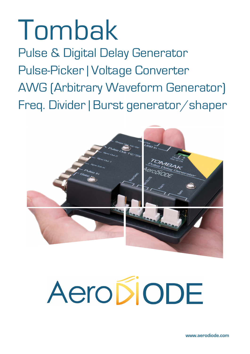## Tombak

Pulse & Digital Delay Generator Pulse-Picker | Voltage Converter AWG (Arbitrary Waveform Generator) Freq. Divider | Burst generator/shaper



# AeropiopE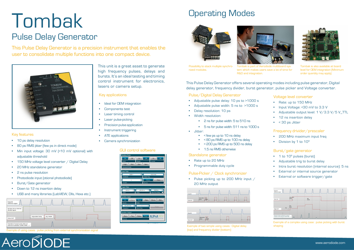This unit is a great asset to generate high frequency pulses, delays and bursts. It's an ideal testing and timing control instrument for electronics, lasers or camera setup.

- 10 ps delay resolution
- 80 ps RMS jitter (few ps in direct mode)
- Min input voltage: 30 mV (<10 mV optional) with adjustable threshold
- 150 MHz voltage level converter / Digital Delay
- 20 MHz standalone generator
- 2 ns pulse resolution
- Photodiode input (otional photodiode)
- Burst/Gate generator
- Down to 12 ns insertion delay
- USB and many libraries (LabVIEW, Dlls, Hexa etc.)



#### Key features

- Adjustable pulse delay: 10 ps to >1000 s
- Adjustable pulse width: 5 ns to >1000 s
- Delay resolution: 10 ps
- Width resolution:
	- 2 ns for pulse width: 5 to 510 ns
	- 5 ns for pulse width: 511 ns to 1000 s
- Jitter:
	- < few ps up to 10 ns delay
	- < 80 ps RMS up to 100 ns delay
	- < 200 ps RMS up to 500 ns delay
	- 1.5 ns RMS otherwise

This Pulse Delay Generator is a precision instrument that enables the user to consolidate multiple functions into one compact device.



## Tombak

### Pulse Delay Generator

- Ideal for OEM integration
- Components test
- **Laser timing control**
- Laser pulse-picking
- Precision pulse application
- Instrument triggering
- ATE applications
- Camera synchronization

- $\cdot$  1 to 10<sup>9</sup> pulses (burst)
- Adjustable trig to burst delay
- Intra burst resolution (internal source): 5 ns
- External or internal source generator
- External or software trigger/gate



#### Key applications

## Operating Modes



- 200 MHz maximum input freq
- Division by 1 to  $10^9$

This Pulse Delay Generator offers several operating modes including pulse generator, Digital delay generator, frequency divider, burst generator, pulse picker and Voltage converter.

#### Pulse/Digital Delay Generator

#### Standalone generator

- Rate up to 20 MHz
- Programmable duty cycle

#### Pulse-Picker / Clock synchronizer

• Pulse picking up to 200 MHz input / 20 MHz output



#### Burst/gate generator

#### Voltage level converter

- Rate: up to 150 MHz
- Input Voltage: <30 mV to 3.3 V
- Adjustable output level: 1 V/3.3 V/5 V\_TTL
- 12 ns insertion delay
- < 30 ps Jitter

#### Frequency drivider/prescaler

#### GUI control software



Tombak is part of Aerodiode multiboard system which makes users save a lot of time for R&D and integration.



Tombak is also available at board level for OEM integration (Minimum order quantity may apply).



Possibility to stack multiple synchronized modules.



Exemple of two simple using cases : Digital delay (top) and frequency divider (bottom)



#### Exemple of a complex using case : pulse picking with burst shaping

Exemple of using cases : pulse picking from external synchronization signal